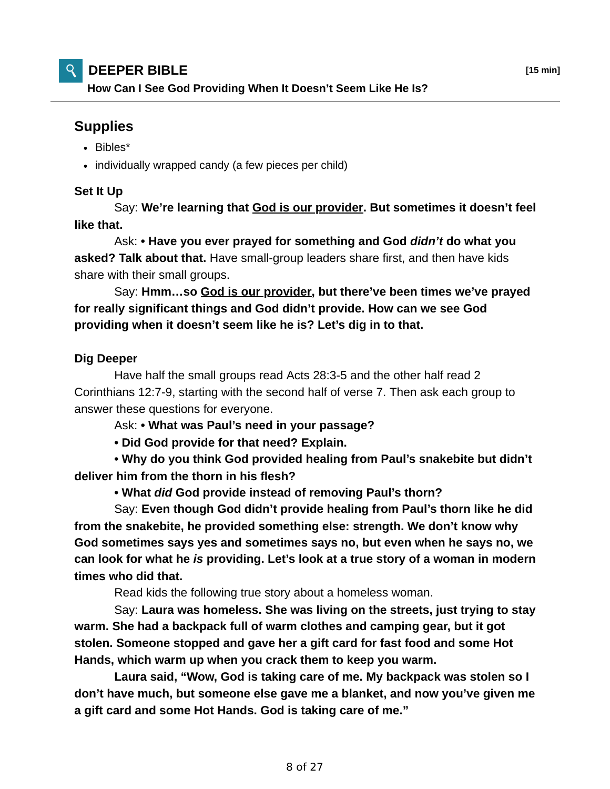## **DEEPER BIBLE [15 min]**

**How Can I See God Providing When It Doesn't Seem Like He Is?**

## **Supplies**

- Bibles\*
- individually wrapped candy (a few pieces per child)

## **Set It Up**

 Say: **We're learning that God is our provider. But sometimes it doesn't feel like that.**

 Ask: **• Have you ever prayed for something and God** *didn't* **do what you asked? Talk about that.** Have small-group leaders share first, and then have kids share with their small groups.

 Say: **Hmm…so God is our provider, but there've been times we've prayed for really significant things and God didn't provide. How can we see God providing when it doesn't seem like he is? Let's dig in to that.**

## **Dig Deeper**

 Have half the small groups read Acts 28:3-5 and the other half read 2 Corinthians 12:7-9, starting with the second half of verse 7. Then ask each group to answer these questions for everyone.

Ask: **• What was Paul's need in your passage?**

 **• Did God provide for that need? Explain.**

 **• Why do you think God provided healing from Paul's snakebite but didn't deliver him from the thorn in his flesh?**

 **• What** *did* **God provide instead of removing Paul's thorn?**

 Say: **Even though God didn't provide healing from Paul's thorn like he did from the snakebite, he provided something else: strength. We don't know why God sometimes says yes and sometimes says no, but even when he says no, we can look for what he** *is* **providing. Let's look at a true story of a woman in modern times who did that.**

Read kids the following true story about a homeless woman.

 Say: **Laura was homeless. She was living on the streets, just trying to stay warm. She had a backpack full of warm clothes and camping gear, but it got stolen. Someone stopped and gave her a gift card for fast food and some Hot Hands, which warm up when you crack them to keep you warm.**

 **Laura said, "Wow, God is taking care of me. My backpack was stolen so I don't have much, but someone else gave me a blanket, and now you've given me a gift card and some Hot Hands. God is taking care of me."**